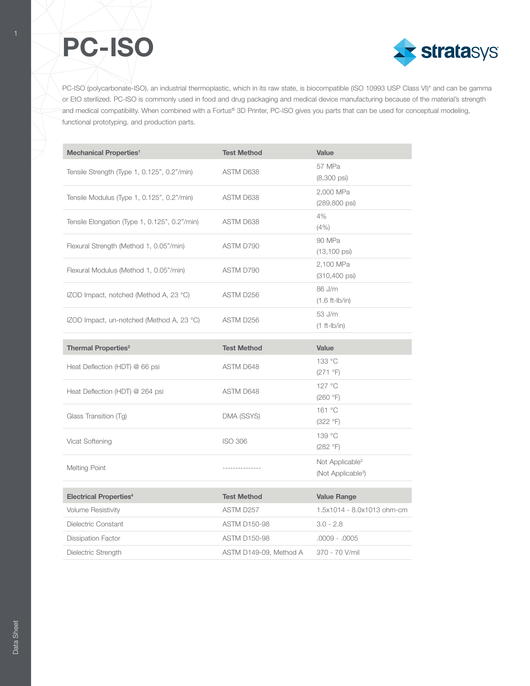

PC-ISO (polycarbonate-ISO), an industrial thermoplastic, which in its raw state, is biocompatible (ISO 10993 USP Class VI)\* and can be gamma or EtO sterilized. PC-ISO is commonly used in food and drug packaging and medical device manufacturing because of the material's strength and medical compatibility. When combined with a Fortus® 3D Printer, PC-ISO gives you parts that can be used for conceptual modeling, functional prototyping, and production parts.

| <b>Mechanical Properties<sup>1</sup></b>      | <b>Test Method</b>  | Value                                                         |  |
|-----------------------------------------------|---------------------|---------------------------------------------------------------|--|
| Tensile Strength (Type 1, 0.125", 0.2"/min)   | ASTM D638           | 57 MPa<br>$(8,300 \text{ psi})$                               |  |
| Tensile Modulus (Type 1, 0.125", 0.2"/min)    | ASTM D638           | 2,000 MPa<br>(289,800 psi)                                    |  |
| Tensile Elongation (Type 1, 0.125", 0.2"/min) | ASTM D638           | 4%<br>(4% )                                                   |  |
| Flexural Strength (Method 1, 0.05"/min)       | ASTM D790           | 90 MPa<br>$(13, 100 \text{ psi})$                             |  |
| Flexural Modulus (Method 1, 0.05"/min)        | ASTM D790           | 2,100 MPa<br>(310,400 psi)                                    |  |
| IZOD Impact, notched (Method A, 23 °C)        | ASTM D256           | 86 J/m<br>$(1.6 ft-lb/in)$                                    |  |
| IZOD Impact, un-notched (Method A, 23 °C)     | ASTM D256           | 53 J/m<br>$(1 ft-lb/in)$                                      |  |
| <b>Thermal Properties<sup>2</sup></b>         | <b>Test Method</b>  | <b>Value</b>                                                  |  |
| Heat Deflection (HDT) @ 66 psi                | ASTM D648           | 133 °C<br>(271 °F)                                            |  |
| Heat Deflection (HDT) @ 264 psi               | ASTM D648           | 127 °C<br>(260 °F)                                            |  |
| Glass Transition (Tg)                         | DMA (SSYS)          | 161 °C<br>(322 °F)                                            |  |
| Vicat Softening                               | <b>ISO 306</b>      | 139 °C<br>(282 °F)                                            |  |
| <b>Melting Point</b>                          |                     | Not Applicable <sup>3</sup><br>(Not Applicable <sup>3</sup> ) |  |
| <b>Electrical Properties4</b>                 | <b>Test Method</b>  | <b>Value Range</b>                                            |  |
|                                               |                     |                                                               |  |
| <b>Volume Resistivity</b>                     | ASTM D257           | 1.5x1014 - 8.0x1013 ohm-cm                                    |  |
| Dielectric Constant                           | <b>ASTM D150-98</b> | $3.0 - 2.8$                                                   |  |
| <b>Dissipation Factor</b>                     | <b>ASTM D150-98</b> | $.0009 - .0005$                                               |  |